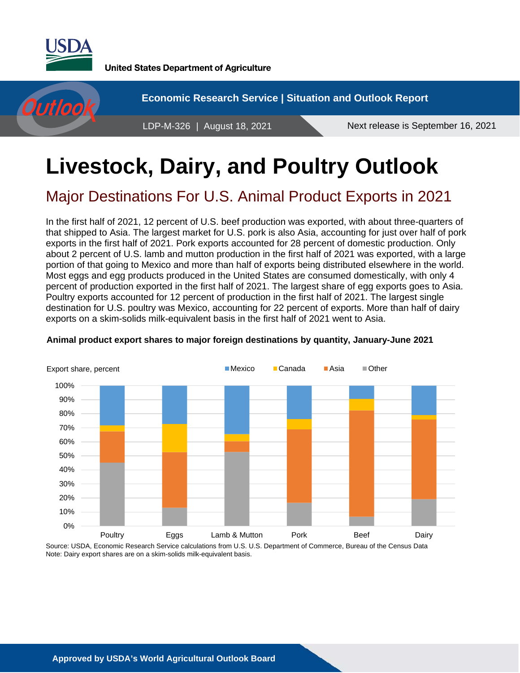

**United States Department of Agriculture** 



# **Livestock, Dairy, and Poultry Outlook**

## Major Destinations For U.S. Animal Product Exports in 2021

In the first half of 2021, 12 percent of U.S. beef production was exported, with about three-quarters of that shipped to Asia. The largest market for U.S. pork is also Asia, accounting for just over half of pork exports in the first half of 2021. Pork exports accounted for 28 percent of domestic production. Only about 2 percent of U.S. lamb and mutton production in the first half of 2021 was exported, with a large portion of that going to Mexico and more than half of exports being distributed elsewhere in the world. Most eggs and egg products produced in the United States are consumed domestically, with only 4 percent of production exported in the first half of 2021. The largest share of egg exports goes to Asia. Poultry exports accounted for 12 percent of production in the first half of 2021. The largest single destination for U.S. poultry was Mexico, accounting for 22 percent of exports. More than half of dairy exports on a skim-solids milk-equivalent basis in the first half of 2021 went to Asia.



#### **Animal product export shares to major foreign destinations by quantity, January-June 2021**

Source: USDA, Economic Research Service calculations from U.S. U.S. Department of Commerce, Bureau of the Census Data Note: Dairy export shares are on a skim-solids milk-equivalent basis.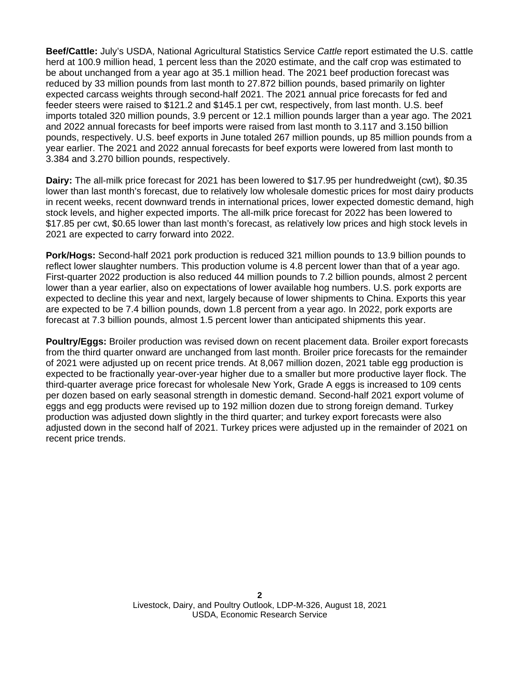**Beef/Cattle:** July's USDA, National Agricultural Statistics Service *Cattle* report estimated the U.S. cattle herd at 100.9 million head, 1 percent less than the 2020 estimate, and the calf crop was estimated to be about unchanged from a year ago at 35.1 million head. The 2021 beef production forecast was reduced by 33 million pounds from last month to 27.872 billion pounds, based primarily on lighter expected carcass weights through second-half 2021. The 2021 annual price forecasts for fed and feeder steers were raised to \$121.2 and \$145.1 per cwt, respectively, from last month. U.S. beef imports totaled 320 million pounds, 3.9 percent or 12.1 million pounds larger than a year ago. The 2021 and 2022 annual forecasts for beef imports were raised from last month to 3.117 and 3.150 billion pounds, respectively. U.S. beef exports in June totaled 267 million pounds, up 85 million pounds from a year earlier. The 2021 and 2022 annual forecasts for beef exports were lowered from last month to 3.384 and 3.270 billion pounds, respectively.

**Dairy:** The all-milk price forecast for 2021 has been lowered to \$17.95 per hundredweight (cwt), \$0.35 lower than last month's forecast, due to relatively low wholesale domestic prices for most dairy products in recent weeks, recent downward trends in international prices, lower expected domestic demand, high stock levels, and higher expected imports. The all-milk price forecast for 2022 has been lowered to \$17.85 per cwt, \$0.65 lower than last month's forecast, as relatively low prices and high stock levels in 2021 are expected to carry forward into 2022.

**Pork/Hogs:** Second-half 2021 pork production is reduced 321 million pounds to 13.9 billion pounds to reflect lower slaughter numbers. This production volume is 4.8 percent lower than that of a year ago. First-quarter 2022 production is also reduced 44 million pounds to 7.2 billion pounds, almost 2 percent lower than a year earlier, also on expectations of lower available hog numbers. U.S. pork exports are expected to decline this year and next, largely because of lower shipments to China. Exports this year are expected to be 7.4 billion pounds, down 1.8 percent from a year ago. In 2022, pork exports are forecast at 7.3 billion pounds, almost 1.5 percent lower than anticipated shipments this year.

**Poultry/Eggs:** Broiler production was revised down on recent placement data. Broiler export forecasts from the third quarter onward are unchanged from last month. Broiler price forecasts for the remainder of 2021 were adjusted up on recent price trends. At 8,067 million dozen, 2021 table egg production is expected to be fractionally year-over-year higher due to a smaller but more productive layer flock. The third-quarter average price forecast for wholesale New York, Grade A eggs is increased to 109 cents per dozen based on early seasonal strength in domestic demand. Second-half 2021 export volume of eggs and egg products were revised up to 192 million dozen due to strong foreign demand. Turkey production was adjusted down slightly in the third quarter; and turkey export forecasts were also adjusted down in the second half of 2021. Turkey prices were adjusted up in the remainder of 2021 on recent price trends.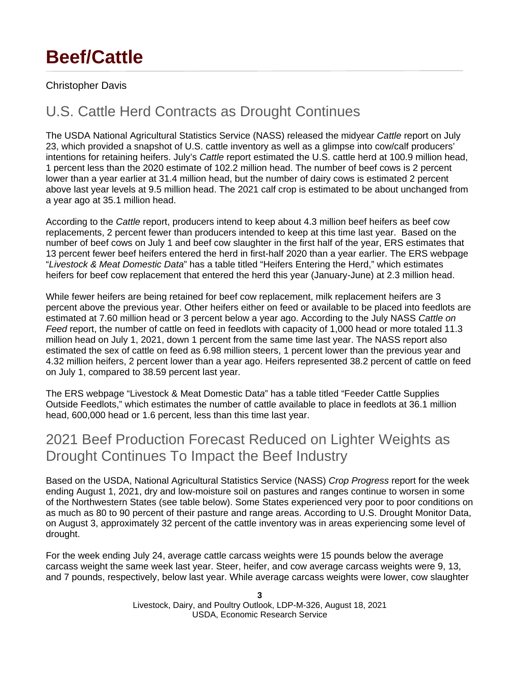# **Beef/Cattle**

### Christopher Davis

## U.S. Cattle Herd Contracts as Drought Continues

The USDA National Agricultural Statistics Service (NASS) released the midyear *Cattle* report on July 23, which provided a snapshot of U.S. cattle inventory as well as a glimpse into cow/calf producers' intentions for retaining heifers. July's *Cattle* report estimated the U.S. cattle herd at 100.9 million head, 1 percent less than the 2020 estimate of 102.2 million head. The number of beef cows is 2 percent lower than a year earlier at 31.4 million head, but the number of dairy cows is estimated 2 percent above last year levels at 9.5 million head. The 2021 calf crop is estimated to be about unchanged from a year ago at 35.1 million head.

According to the *Cattle* report, producers intend to keep about 4.3 million beef heifers as beef cow replacements, 2 percent fewer than producers intended to keep at this time last year. Based on the number of beef cows on July 1 and beef cow slaughter in the first half of the year, ERS estimates that 13 percent fewer beef heifers entered the herd in first-half 2020 than a year earlier. The ERS webpage "*Livestock & Meat Domestic Data*" has a table titled "Heifers Entering the Herd," which estimates heifers for beef cow replacement that entered the herd this year (January-June) at 2.3 million head.

While fewer heifers are being retained for beef cow replacement, milk replacement heifers are 3 percent above the previous year. Other heifers either on feed or available to be placed into feedlots are estimated at 7.60 million head or 3 percent below a year ago. According to the July NASS *Cattle on Feed* report, the number of cattle on feed in feedlots with capacity of 1,000 head or more totaled 11.3 million head on July 1, 2021, down 1 percent from the same time last year. The NASS report also estimated the sex of cattle on feed as 6.98 million steers, 1 percent lower than the previous year and 4.32 million heifers, 2 percent lower than a year ago. Heifers represented 38.2 percent of cattle on feed on July 1, compared to 38.59 percent last year.

The ERS webpage "Livestock & Meat Domestic Dat*a*" has a table titled "Feeder Cattle Supplies Outside Feedlots," which estimates the number of cattle available to place in feedlots at 36.1 million head, 600,000 head or 1.6 percent, less than this time last year.

### 2021 Beef Production Forecast Reduced on Lighter Weights as Drought Continues To Impact the Beef Industry

Based on the USDA, National Agricultural Statistics Service (NASS) *Crop Progress* report for the week ending August 1, 2021, dry and low-moisture soil on pastures and ranges continue to worsen in some of the Northwestern States (see table below). Some States experienced very poor to poor conditions on as much as 80 to 90 percent of their pasture and range areas. According to U.S. Drought Monitor Data, on August 3, approximately 32 percent of the cattle inventory was in areas experiencing some level of drought.

For the week ending July 24, average cattle carcass weights were 15 pounds below the average carcass weight the same week last year. Steer, heifer, and cow average carcass weights were 9, 13, and 7 pounds, respectively, below last year. While average carcass weights were lower, cow slaughter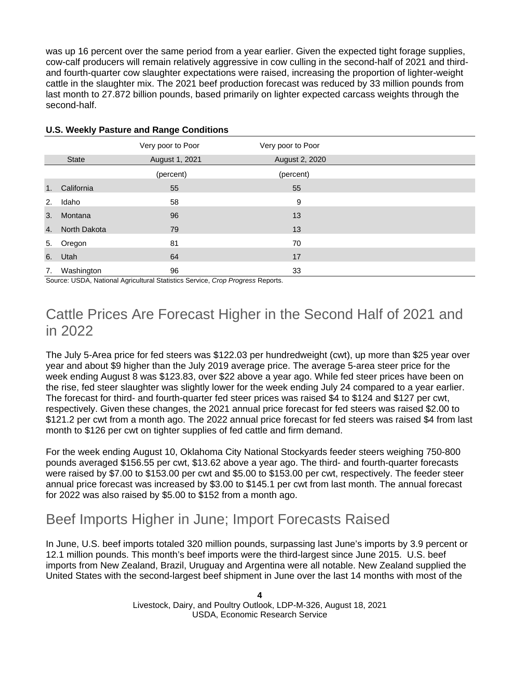was up 16 percent over the same period from a year earlier. Given the expected tight forage supplies, cow-calf producers will remain relatively aggressive in cow culling in the second-half of 2021 and thirdand fourth-quarter cow slaughter expectations were raised, increasing the proportion of lighter-weight cattle in the slaughter mix. The 2021 beef production forecast was reduced by 33 million pounds from last month to 27.872 billion pounds, based primarily on lighter expected carcass weights through the second-half.

|    |               | Very poor to Poor | Very poor to Poor |  |
|----|---------------|-------------------|-------------------|--|
|    | <b>State</b>  | August 1, 2021    | August 2, 2020    |  |
|    |               | (percent)         | (percent)         |  |
| 1. | California    | 55                | 55                |  |
| 2. | Idaho         | 58                | 9                 |  |
| 3. | Montana       | 96                | 13                |  |
| 4. | North Dakota  | 79                | 13                |  |
| 5. | Oregon        | 81                | 70                |  |
|    | 6. Utah       | 64                | 17                |  |
|    | 7. Washington | 96                | 33                |  |

#### **U.S. Weekly Pasture and Range Conditions**

Source: USDA, National Agricultural Statistics Service, *Crop Progress* Reports.

### Cattle Prices Are Forecast Higher in the Second Half of 2021 and in 2022

The July 5-Area price for fed steers was \$122.03 per hundredweight (cwt), up more than \$25 year over year and about \$9 higher than the July 2019 average price. The average 5-area steer price for the week ending August 8 was \$123.83, over \$22 above a year ago. While fed steer prices have been on the rise, fed steer slaughter was slightly lower for the week ending July 24 compared to a year earlier. The forecast for third- and fourth-quarter fed steer prices was raised \$4 to \$124 and \$127 per cwt, respectively. Given these changes, the 2021 annual price forecast for fed steers was raised \$2.00 to \$121.2 per cwt from a month ago. The 2022 annual price forecast for fed steers was raised \$4 from last month to \$126 per cwt on tighter supplies of fed cattle and firm demand.

For the week ending August 10, Oklahoma City National Stockyards feeder steers weighing 750-800 pounds averaged \$156.55 per cwt, \$13.62 above a year ago. The third- and fourth-quarter forecasts were raised by \$7.00 to \$153.00 per cwt and \$5.00 to \$153.00 per cwt, respectively. The feeder steer annual price forecast was increased by \$3.00 to \$145.1 per cwt from last month. The annual forecast for 2022 was also raised by \$5.00 to \$152 from a month ago.

### Beef Imports Higher in June; Import Forecasts Raised

In June, U.S. beef imports totaled 320 million pounds, surpassing last June's imports by 3.9 percent or 12.1 million pounds. This month's beef imports were the third-largest since June 2015. U.S. beef imports from New Zealand, Brazil, Uruguay and Argentina were all notable. New Zealand supplied the United States with the second-largest beef shipment in June over the last 14 months with most of the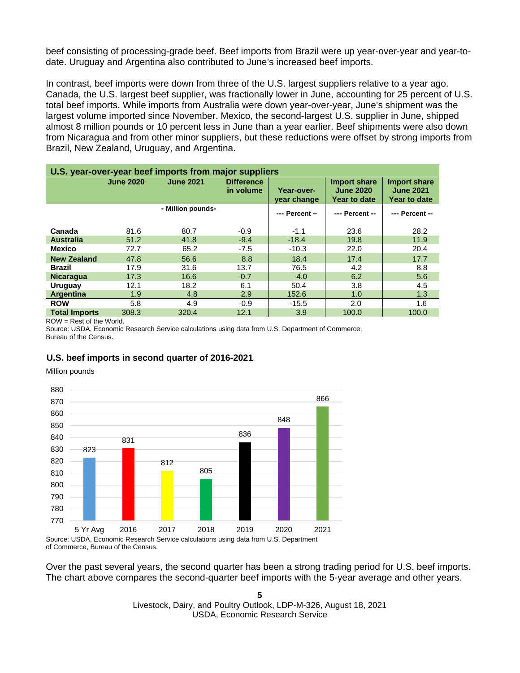beef consisting of processing-grade beef. Beef imports from Brazil were up year-over-year and year-todate. Uruguay and Argentina also contributed to June's increased beef imports.

In contrast, beef imports were down from three of the U.S. largest suppliers relative to a year ago. Canada, the U.S. largest beef supplier, was fractionally lower in June, accounting for 25 percent of U.S. total beef imports. While imports from Australia were down year-over-year, June's shipment was the largest volume imported since November. Mexico, the second-largest U.S. supplier in June, shipped almost 8 million pounds or 10 percent less in June than a year earlier. Beef shipments were also down from Nicaragua and from other minor suppliers, but these reductions were offset by strong imports from Brazil, New Zealand, Uruguay, and Argentina.

| U.S. year-over-year beef imports from major suppliers |                  |                   |                                |                           |                                                         |                                                  |  |  |  |  |
|-------------------------------------------------------|------------------|-------------------|--------------------------------|---------------------------|---------------------------------------------------------|--------------------------------------------------|--|--|--|--|
|                                                       | <b>June 2020</b> | <b>June 2021</b>  | <b>Difference</b><br>in volume | Year-over-<br>year change | <b>Import share</b><br><b>June 2020</b><br>Year to date | Import share<br><b>June 2021</b><br>Year to date |  |  |  |  |
|                                                       |                  | - Million pounds- |                                | --- Percent -             | --- Percent --                                          | --- Percent --                                   |  |  |  |  |
| Canada                                                | 81.6             | 80.7              | $-0.9$                         | $-1.1$                    | 23.6                                                    | 28.2                                             |  |  |  |  |
| <b>Australia</b>                                      | 51.2             | 41.8              | $-9.4$                         | $-18.4$                   | 19.8                                                    | 11.9                                             |  |  |  |  |
| <b>Mexico</b>                                         | 72.7             | 65.2              | $-7.5$                         | $-10.3$                   | 22.0                                                    | 20.4                                             |  |  |  |  |
| <b>New Zealand</b>                                    | 47.8             | 56.6              | 8.8                            | 18.4                      | 17.4                                                    | 17.7                                             |  |  |  |  |
| Brazil                                                | 17.9             | 31.6              | 13.7                           | 76.5                      | 4.2                                                     | 8.8                                              |  |  |  |  |
| <b>Nicaragua</b>                                      | 17.3             | 16.6              | $-0.7$                         | $-4.0$                    | 6.2                                                     | 5.6                                              |  |  |  |  |
| Uruguay                                               | 12.1             | 18.2              | 6.1                            | 50.4                      | 3.8                                                     | 4.5                                              |  |  |  |  |
| Argentina                                             | 1.9              | 4.8               | 2.9                            | 152.6                     | 1.0                                                     | 1.3                                              |  |  |  |  |
| <b>ROW</b>                                            | 5.8              | 4.9               | $-0.9$                         | $-15.5$                   | 2.0                                                     | 1.6                                              |  |  |  |  |
| <b>Total Imports</b>                                  | 308.3            | 320.4             | 12.1                           | 3.9                       | 100.0                                                   | 100.0                                            |  |  |  |  |

ROW = Rest of the World.

Source: USDA, Economic Research Service calculations using data from U.S. Department of Commerce, Bureau of the Census.

#### **U.S. beef imports in second quarter of 2016-2021**

Million pounds



of Commerce, Bureau of the Census.

Over the past several years, the second quarter has been a strong trading period for U.S. beef imports. The chart above compares the second-quarter beef imports with the 5-year average and other years.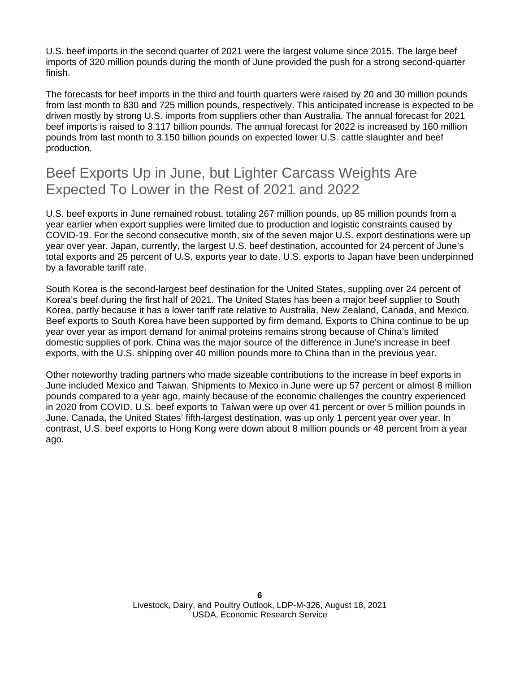U.S. beef imports in the second quarter of 2021 were the largest volume since 2015. The large beef imports of 320 million pounds during the month of June provided the push for a strong second-quarter finish.

The forecasts for beef imports in the third and fourth quarters were raised by 20 and 30 million pounds from last month to 830 and 725 million pounds, respectively. This anticipated increase is expected to be driven mostly by strong U.S. imports from suppliers other than Australia. The annual forecast for 2021 beef imports is raised to 3.117 billion pounds. The annual forecast for 2022 is increased by 160 million pounds from last month to 3.150 billion pounds on expected lower U.S. cattle slaughter and beef production.

### Beef Exports Up in June, but Lighter Carcass Weights Are Expected To Lower in the Rest of 2021 and 2022

U.S. beef exports in June remained robust, totaling 267 million pounds, up 85 million pounds from a year earlier when export supplies were limited due to production and logistic constraints caused by COVID-19. For the second consecutive month, six of the seven major U.S. export destinations were up year over year. Japan, currently, the largest U.S. beef destination, accounted for 24 percent of June's total exports and 25 percent of U.S. exports year to date. U.S. exports to Japan have been underpinned by a favorable tariff rate.

South Korea is the second-largest beef destination for the United States, suppling over 24 percent of Korea's beef during the first half of 2021. The United States has been a major beef supplier to South Korea, partly because it has a lower tariff rate relative to Australia, New Zealand, Canada, and Mexico. Beef exports to South Korea have been supported by firm demand. Exports to China continue to be up year over year as import demand for animal proteins remains strong because of China's limited domestic supplies of pork. China was the major source of the difference in June's increase in beef exports, with the U.S. shipping over 40 million pounds more to China than in the previous year.

Other noteworthy trading partners who made sizeable contributions to the increase in beef exports in June included Mexico and Taiwan. Shipments to Mexico in June were up 57 percent or almost 8 million pounds compared to a year ago, mainly because of the economic challenges the country experienced in 2020 from COVID. U.S. beef exports to Taiwan were up over 41 percent or over 5 million pounds in June. Canada, the United States' fifth-largest destination, was up only 1 percent year over year. In contrast, U.S. beef exports to Hong Kong were down about 8 million pounds or 48 percent from a year ago.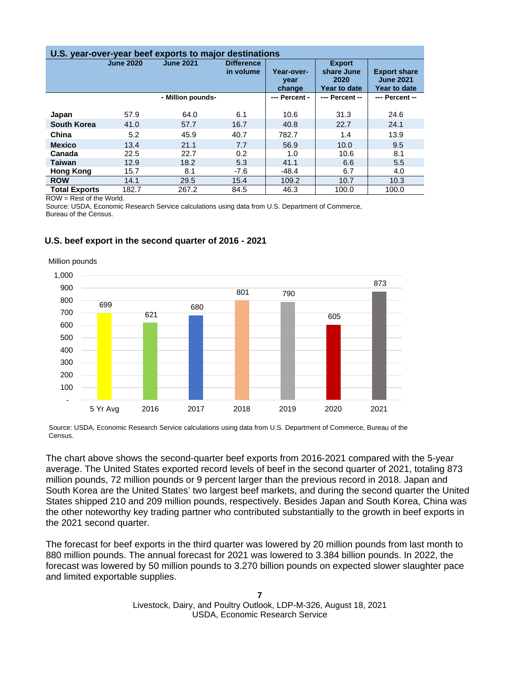| U.S. year-over-year beef exports to major destinations |                                      |       |                                |                              |                |                                                         |  |  |  |
|--------------------------------------------------------|--------------------------------------|-------|--------------------------------|------------------------------|----------------|---------------------------------------------------------|--|--|--|
|                                                        | <b>June 2020</b><br><b>June 2021</b> |       | <b>Difference</b><br>in volume | Year-over-<br>year<br>change |                | <b>Export share</b><br><b>June 2021</b><br>Year to date |  |  |  |
| - Million pounds-                                      |                                      |       | --- Percent -                  | --- Percent --               | --- Percent -- |                                                         |  |  |  |
| Japan                                                  | 57.9                                 | 64.0  | 6.1                            | 10.6                         | 31.3           | 24.6                                                    |  |  |  |
| <b>South Korea</b>                                     | 41.0                                 | 57.7  | 16.7                           | 40.8                         | 22.7           | 24.1                                                    |  |  |  |
| China                                                  | 5.2                                  | 45.9  | 40.7                           | 782.7                        | 1.4            | 13.9                                                    |  |  |  |
| <b>Mexico</b>                                          | 13.4                                 | 21.1  | 7.7                            | 56.9                         | 10.0           | 9.5                                                     |  |  |  |
| Canada                                                 | 22.5                                 | 22.7  | 0.2                            | 1.0                          | 10.6           | 8.1                                                     |  |  |  |
| <b>Taiwan</b>                                          | 12.9                                 | 18.2  | 5.3                            | 41.1                         | 6.6            | 5.5                                                     |  |  |  |
| <b>Hong Kong</b>                                       | 15.7                                 | 8.1   | $-7.6$                         | $-48.4$                      | 6.7            | 4.0                                                     |  |  |  |
| <b>ROW</b>                                             | 14.1                                 | 29.5  | 15.4                           | 109.2                        | 10.7           | 10.3                                                    |  |  |  |
| <b>Total Exports</b>                                   | 182.7                                | 267.2 | 84.5                           | 46.3                         | 100.0          | 100.0                                                   |  |  |  |

ROW = Rest of the World.

Source: USDA, Economic Research Service calculations using data from U.S. Department of Commerce, Bureau of the Census.

### **U.S. beef export in the second quarter of 2016 - 2021**



Million pounds

Source: USDA, Economic Research Service calculations using data from U.S. Department of Commerce, Bureau of the Census.

The chart above shows the second-quarter beef exports from 2016-2021 compared with the 5-year average. The United States exported record levels of beef in the second quarter of 2021, totaling 873 million pounds, 72 million pounds or 9 percent larger than the previous record in 2018. Japan and South Korea are the United States' two largest beef markets, and during the second quarter the United States shipped 210 and 209 million pounds, respectively. Besides Japan and South Korea, China was the other noteworthy key trading partner who contributed substantially to the growth in beef exports in the 2021 second quarter.

The forecast for beef exports in the third quarter was lowered by 20 million pounds from last month to 880 million pounds. The annual forecast for 2021 was lowered to 3.384 billion pounds. In 2022, the forecast was lowered by 50 million pounds to 3.270 billion pounds on expected slower slaughter pace and limited exportable supplies.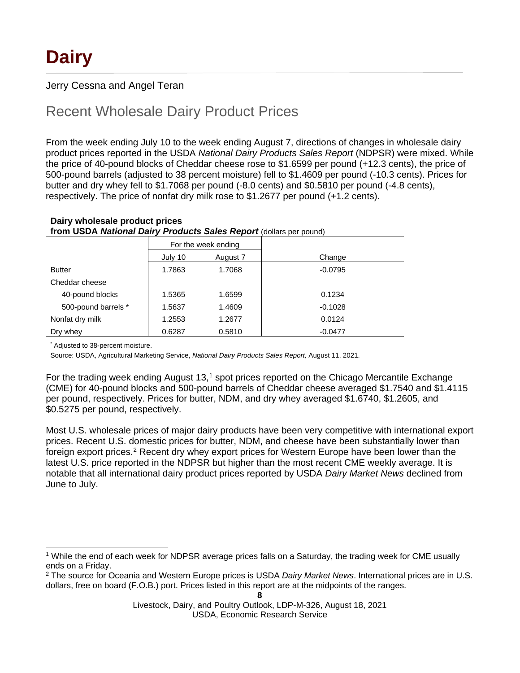### Jerry Cessna and Angel Teran

### Recent Wholesale Dairy Product Prices

From the week ending July 10 to the week ending August 7, directions of changes in wholesale dairy product prices reported in the USDA *National Dairy Products Sales Report* (NDPSR) were mixed. While the price of 40-pound blocks of Cheddar cheese rose to \$1.6599 per pound (+12.3 cents), the price of 500-pound barrels (adjusted to 38 percent moisture) fell to \$1.4609 per pound (-10.3 cents). Prices for butter and dry whey fell to \$1.7068 per pound (-8.0 cents) and \$0.5810 per pound (-4.8 cents), respectively. The price of nonfat dry milk rose to \$1.2677 per pound (+1.2 cents).

#### **Dairy wholesale product prices from USDA** *National Dairy Products Sales Report* (dollars per pound)

|                     |         | For the week ending |           |
|---------------------|---------|---------------------|-----------|
|                     | July 10 | August 7            | Change    |
| <b>Butter</b>       | 1.7863  | 1.7068              | $-0.0795$ |
| Cheddar cheese      |         |                     |           |
| 40-pound blocks     | 1.5365  | 1.6599              | 0.1234    |
| 500-pound barrels * | 1.5637  | 1.4609              | $-0.1028$ |
| Nonfat dry milk     | 1.2553  | 1.2677              | 0.0124    |
| Dry whey            | 0.6287  | 0.5810              | $-0.0477$ |

Adjusted to 38-percent moisture.

Source: USDA, Agricultural Marketing Service, *National Dairy Products Sales Report,* August 11, 2021.

For the trading week ending August [1](#page-7-0)3,<sup>1</sup> spot prices reported on the Chicago Mercantile Exchange (CME) for 40-pound blocks and 500-pound barrels of Cheddar cheese averaged \$1.7540 and \$1.4115 per pound, respectively. Prices for butter, NDM, and dry whey averaged \$1.6740, \$1.2605, and \$0.5275 per pound, respectively.

Most U.S. wholesale prices of major dairy products have been very competitive with international export prices. Recent U.S. domestic prices for butter, NDM, and cheese have been substantially lower than foreign export prices.<sup>[2](#page-7-1)</sup> Recent dry whey export prices for Western Europe have been lower than the latest U.S. price reported in the NDPSR but higher than the most recent CME weekly average. It is notable that all international dairy product prices reported by USDA *Dairy Market News* declined from June to July.

<span id="page-7-0"></span><sup>1</sup> While the end of each week for NDPSR average prices falls on a Saturday, the trading week for CME usually ends on a Friday.

<span id="page-7-1"></span><sup>2</sup> The source for Oceania and Western Europe prices is USDA *Dairy Market News*. International prices are in U.S. dollars, free on board (F.O.B.) port. Prices listed in this report are at the midpoints of the ranges.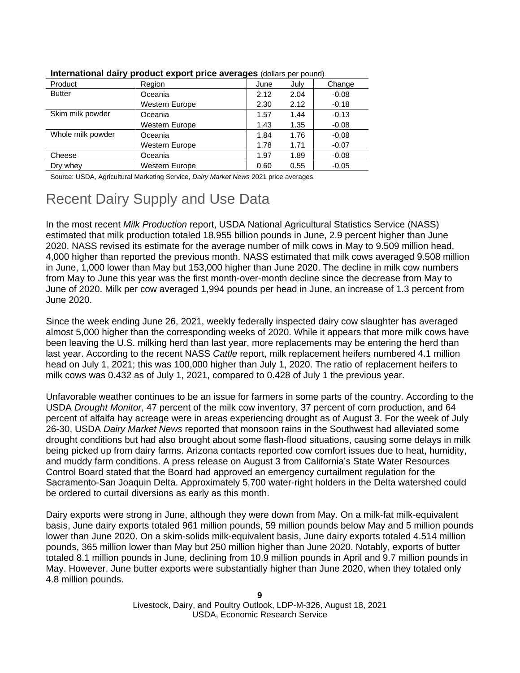|                   | .                     |      |      |         |
|-------------------|-----------------------|------|------|---------|
| Product           | Region                | June | July | Change  |
| <b>Butter</b>     | Oceania               | 2.12 | 2.04 | $-0.08$ |
|                   | <b>Western Europe</b> | 2.30 | 2.12 | $-0.18$ |
| Skim milk powder  | Oceania               | 1.57 | 1.44 | $-0.13$ |
|                   | <b>Western Europe</b> | 1.43 | 1.35 | $-0.08$ |
| Whole milk powder | Oceania               | 1.84 | 1.76 | $-0.08$ |
|                   | <b>Western Europe</b> | 1.78 | 1.71 | $-0.07$ |
| Cheese            | Oceania               | 1.97 | 1.89 | $-0.08$ |
| Drv whev          | <b>Western Europe</b> | 0.60 | 0.55 | $-0.05$ |
|                   |                       |      |      |         |

**International dairy product export price averages** (dollars per pound)

Source: USDA, Agricultural Marketing Service, *Dairy Market News* 2021 price averages.

# Recent Dairy Supply and Use Data

In the most recent *Milk Production* report, USDA National Agricultural Statistics Service (NASS) estimated that milk production totaled 18.955 billion pounds in June, 2.9 percent higher than June 2020. NASS revised its estimate for the average number of milk cows in May to 9.509 million head, 4,000 higher than reported the previous month. NASS estimated that milk cows averaged 9.508 million in June, 1,000 lower than May but 153,000 higher than June 2020. The decline in milk cow numbers from May to June this year was the first month-over-month decline since the decrease from May to June of 2020. Milk per cow averaged 1,994 pounds per head in June, an increase of 1.3 percent from June 2020.

Since the week ending June 26, 2021, weekly federally inspected dairy cow slaughter has averaged almost 5,000 higher than the corresponding weeks of 2020. While it appears that more milk cows have been leaving the U.S. milking herd than last year, more replacements may be entering the herd than last year. According to the recent NASS *Cattle* report, milk replacement heifers numbered 4.1 million head on July 1, 2021; this was 100,000 higher than July 1, 2020. The ratio of replacement heifers to milk cows was 0.432 as of July 1, 2021, compared to 0.428 of July 1 the previous year.

Unfavorable weather continues to be an issue for farmers in some parts of the country. According to the USDA *Drought Monitor*, 47 percent of the milk cow inventory, 37 percent of corn production, and 64 percent of alfalfa hay acreage were in areas experiencing drought as of August 3. For the week of July 26-30, USDA *Dairy Market News* reported that monsoon rains in the Southwest had alleviated some drought conditions but had also brought about some flash-flood situations, causing some delays in milk being picked up from dairy farms. Arizona contacts reported cow comfort issues due to heat, humidity, and muddy farm conditions. A press release on August 3 from California's State Water Resources Control Board stated that the Board had approved an emergency curtailment regulation for the Sacramento-San Joaquin Delta. Approximately 5,700 water-right holders in the Delta watershed could be ordered to curtail diversions as early as this month.

Dairy exports were strong in June, although they were down from May. On a milk-fat milk-equivalent basis, June dairy exports totaled 961 million pounds, 59 million pounds below May and 5 million pounds lower than June 2020. On a skim-solids milk-equivalent basis, June dairy exports totaled 4.514 million pounds, 365 million lower than May but 250 million higher than June 2020. Notably, exports of butter totaled 8.1 million pounds in June, declining from 10.9 million pounds in April and 9.7 million pounds in May. However, June butter exports were substantially higher than June 2020, when they totaled only 4.8 million pounds.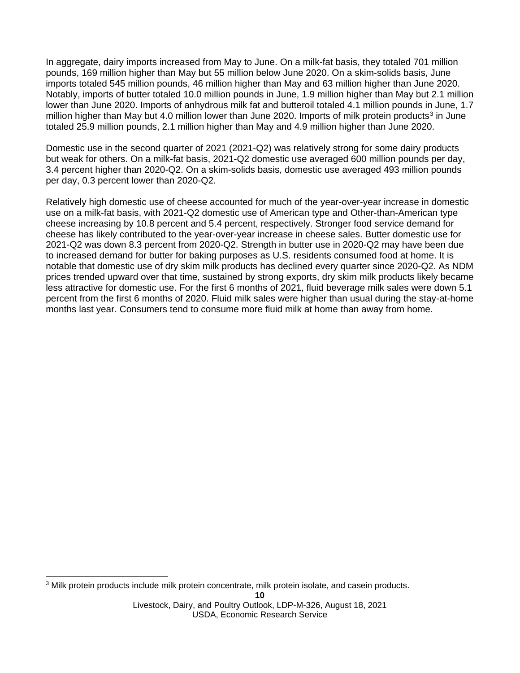In aggregate, dairy imports increased from May to June. On a milk-fat basis, they totaled 701 million pounds, 169 million higher than May but 55 million below June 2020. On a skim-solids basis, June imports totaled 545 million pounds, 46 million higher than May and 63 million higher than June 2020. Notably, imports of butter totaled 10.0 million pounds in June, 1.9 million higher than May but 2.1 million lower than June 2020. Imports of anhydrous milk fat and butteroil totaled 4.1 million pounds in June, 1.7 million higher than May but 4.0 million lower than June 2020. Imports of milk protein products<sup>[3](#page-9-0)</sup> in June totaled 25.9 million pounds, 2.1 million higher than May and 4.9 million higher than June 2020.

Domestic use in the second quarter of 2021 (2021-Q2) was relatively strong for some dairy products but weak for others. On a milk-fat basis, 2021-Q2 domestic use averaged 600 million pounds per day, 3.4 percent higher than 2020-Q2. On a skim-solids basis, domestic use averaged 493 million pounds per day, 0.3 percent lower than 2020-Q2.

Relatively high domestic use of cheese accounted for much of the year-over-year increase in domestic use on a milk-fat basis, with 2021-Q2 domestic use of American type and Other-than-American type cheese increasing by 10.8 percent and 5.4 percent, respectively. Stronger food service demand for cheese has likely contributed to the year-over-year increase in cheese sales. Butter domestic use for 2021-Q2 was down 8.3 percent from 2020-Q2. Strength in butter use in 2020-Q2 may have been due to increased demand for butter for baking purposes as U.S. residents consumed food at home. It is notable that domestic use of dry skim milk products has declined every quarter since 2020-Q2. As NDM prices trended upward over that time, sustained by strong exports, dry skim milk products likely became less attractive for domestic use. For the first 6 months of 2021, fluid beverage milk sales were down 5.1 percent from the first 6 months of 2020. Fluid milk sales were higher than usual during the stay-at-home months last year. Consumers tend to consume more fluid milk at home than away from home.

<span id="page-9-0"></span><sup>3</sup> Milk protein products include milk protein concentrate, milk protein isolate, and casein products.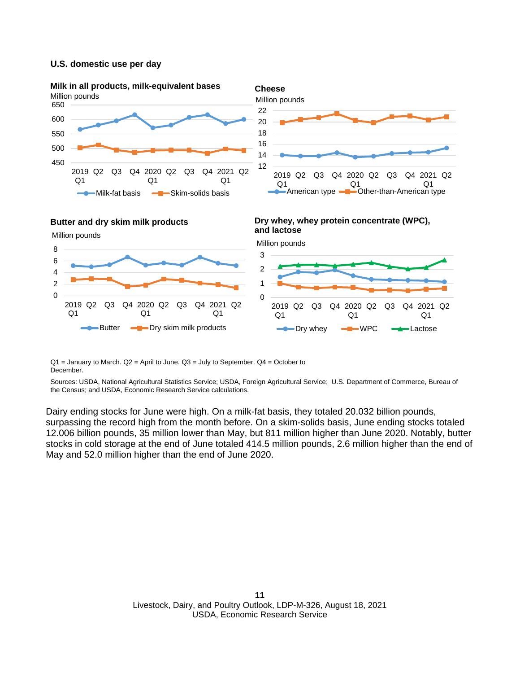#### **U.S. domestic use per day**









 $Q1$  = January to March.  $Q2$  = April to June.  $Q3$  = July to September.  $Q4$  = October to December.

Sources: USDA, National Agricultural Statistics Service; USDA, Foreign Agricultural Service; U.S. Department of Commerce, Bureau of the Census; and USDA, Economic Research Service calculations.

Dairy ending stocks for June were high. On a milk-fat basis, they totaled 20.032 billion pounds, surpassing the record high from the month before. On a skim-solids basis, June ending stocks totaled 12.006 billion pounds, 35 million lower than May, but 811 million higher than June 2020. Notably, butter stocks in cold storage at the end of June totaled 414.5 million pounds, 2.6 million higher than the end of May and 52.0 million higher than the end of June 2020.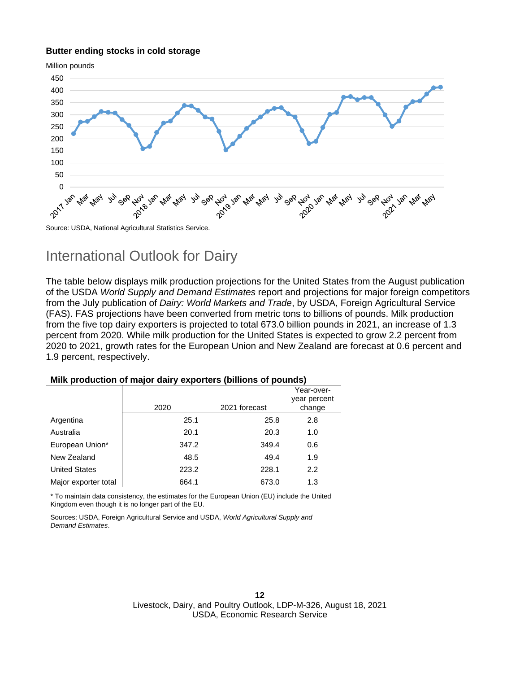#### **Butter ending stocks in cold storage**



### International Outlook for Dairy

The table below displays milk production projections for the United States from the August publication of the USDA *World Supply and Demand Estimates* report and projections for major foreign competitors from the July publication of *Dairy: World Markets and Trade*, by USDA, Foreign Agricultural Service (FAS). FAS projections have been converted from metric tons to billions of pounds. Milk production from the five top dairy exporters is projected to total 673.0 billion pounds in 2021, an increase of 1.3 percent from 2020. While milk production for the United States is expected to grow 2.2 percent from 2020 to 2021, growth rates for the European Union and New Zealand are forecast at 0.6 percent and 1.9 percent, respectively.

|                      | 2020  | 2021 forecast | Year-over-<br>year percent<br>change |
|----------------------|-------|---------------|--------------------------------------|
| Argentina            | 25.1  | 25.8          | 2.8                                  |
| Australia            | 20.1  | 20.3          | 1.0                                  |
| European Union*      | 347.2 | 349.4         | 0.6                                  |
| New Zealand          | 48.5  | 49.4          | 1.9                                  |
| <b>United States</b> | 223.2 | 228.1         | 2.2                                  |
| Major exporter total | 664.1 | 673.0         | 1.3                                  |

#### **Milk production of major dairy exporters (billions of pounds)**

\* To maintain data consistency, the estimates for the European Union (EU) include the United Kingdom even though it is no longer part of the EU.

Sources: USDA, Foreign Agricultural Service and USDA, *World Agricultural Supply and Demand Estimates*.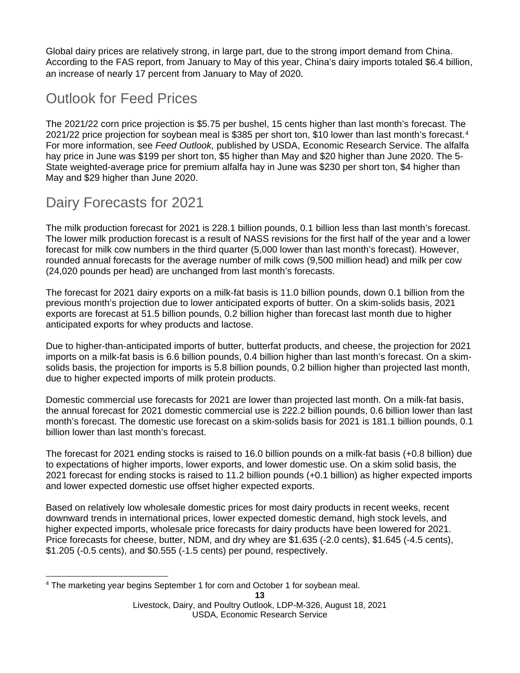Global dairy prices are relatively strong, in large part, due to the strong import demand from China. According to the FAS report, from January to May of this year, China's dairy imports totaled \$6.4 billion, an increase of nearly 17 percent from January to May of 2020.

# Outlook for Feed Prices

The 2021/22 corn price projection is \$5.75 per bushel, 15 cents higher than last month's forecast. The 2021/22 price projection for soybean meal is \$385 per short ton, \$10 lower than last month's forecast.[4](#page-12-0) For more information, see *Feed Outlook,* published by USDA, Economic Research Service. The alfalfa hay price in June was \$199 per short ton, \$5 higher than May and \$20 higher than June 2020. The 5- State weighted-average price for premium alfalfa hay in June was \$230 per short ton, \$4 higher than May and \$29 higher than June 2020.

### Dairy Forecasts for 2021

The milk production forecast for 2021 is 228.1 billion pounds, 0.1 billion less than last month's forecast. The lower milk production forecast is a result of NASS revisions for the first half of the year and a lower forecast for milk cow numbers in the third quarter (5,000 lower than last month's forecast). However, rounded annual forecasts for the average number of milk cows (9,500 million head) and milk per cow (24,020 pounds per head) are unchanged from last month's forecasts.

The forecast for 2021 dairy exports on a milk-fat basis is 11.0 billion pounds, down 0.1 billion from the previous month's projection due to lower anticipated exports of butter. On a skim-solids basis, 2021 exports are forecast at 51.5 billion pounds, 0.2 billion higher than forecast last month due to higher anticipated exports for whey products and lactose.

Due to higher-than-anticipated imports of butter, butterfat products, and cheese, the projection for 2021 imports on a milk-fat basis is 6.6 billion pounds, 0.4 billion higher than last month's forecast. On a skimsolids basis, the projection for imports is 5.8 billion pounds, 0.2 billion higher than projected last month, due to higher expected imports of milk protein products.

Domestic commercial use forecasts for 2021 are lower than projected last month. On a milk-fat basis, the annual forecast for 2021 domestic commercial use is 222.2 billion pounds, 0.6 billion lower than last month's forecast. The domestic use forecast on a skim-solids basis for 2021 is 181.1 billion pounds, 0.1 billion lower than last month's forecast.

The forecast for 2021 ending stocks is raised to 16.0 billion pounds on a milk-fat basis (+0.8 billion) due to expectations of higher imports, lower exports, and lower domestic use. On a skim solid basis, the 2021 forecast for ending stocks is raised to 11.2 billion pounds (+0.1 billion) as higher expected imports and lower expected domestic use offset higher expected exports.

Based on relatively low wholesale domestic prices for most dairy products in recent weeks, recent downward trends in international prices, lower expected domestic demand, high stock levels, and higher expected imports, wholesale price forecasts for dairy products have been lowered for 2021. Price forecasts for cheese, butter, NDM, and dry whey are \$1.635 (-2.0 cents), \$1.645 (-4.5 cents), \$1.205 (-0.5 cents), and \$0.555 (-1.5 cents) per pound, respectively.

<span id="page-12-0"></span><sup>4</sup> The marketing year begins September 1 for corn and October 1 for soybean meal.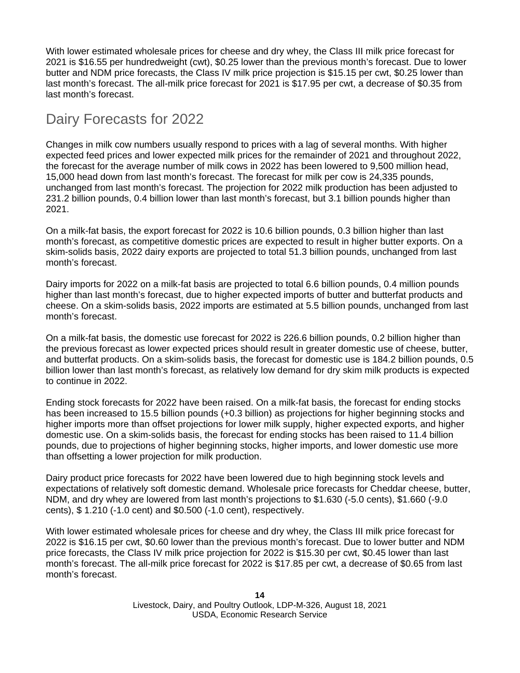With lower estimated wholesale prices for cheese and dry whey, the Class III milk price forecast for 2021 is \$16.55 per hundredweight (cwt), \$0.25 lower than the previous month's forecast. Due to lower butter and NDM price forecasts, the Class IV milk price projection is \$15.15 per cwt, \$0.25 lower than last month's forecast. The all-milk price forecast for 2021 is \$17.95 per cwt, a decrease of \$0.35 from last month's forecast.

## Dairy Forecasts for 2022

Changes in milk cow numbers usually respond to prices with a lag of several months. With higher expected feed prices and lower expected milk prices for the remainder of 2021 and throughout 2022, the forecast for the average number of milk cows in 2022 has been lowered to 9,500 million head, 15,000 head down from last month's forecast. The forecast for milk per cow is 24,335 pounds, unchanged from last month's forecast. The projection for 2022 milk production has been adjusted to 231.2 billion pounds, 0.4 billion lower than last month's forecast, but 3.1 billion pounds higher than 2021.

On a milk-fat basis, the export forecast for 2022 is 10.6 billion pounds, 0.3 billion higher than last month's forecast, as competitive domestic prices are expected to result in higher butter exports. On a skim-solids basis, 2022 dairy exports are projected to total 51.3 billion pounds, unchanged from last month's forecast.

Dairy imports for 2022 on a milk-fat basis are projected to total 6.6 billion pounds, 0.4 million pounds higher than last month's forecast, due to higher expected imports of butter and butterfat products and cheese. On a skim-solids basis, 2022 imports are estimated at 5.5 billion pounds, unchanged from last month's forecast.

On a milk-fat basis, the domestic use forecast for 2022 is 226.6 billion pounds, 0.2 billion higher than the previous forecast as lower expected prices should result in greater domestic use of cheese, butter, and butterfat products. On a skim-solids basis, the forecast for domestic use is 184.2 billion pounds, 0.5 billion lower than last month's forecast, as relatively low demand for dry skim milk products is expected to continue in 2022.

Ending stock forecasts for 2022 have been raised. On a milk-fat basis, the forecast for ending stocks has been increased to 15.5 billion pounds (+0.3 billion) as projections for higher beginning stocks and higher imports more than offset projections for lower milk supply, higher expected exports, and higher domestic use. On a skim-solids basis, the forecast for ending stocks has been raised to 11.4 billion pounds, due to projections of higher beginning stocks, higher imports, and lower domestic use more than offsetting a lower projection for milk production.

Dairy product price forecasts for 2022 have been lowered due to high beginning stock levels and expectations of relatively soft domestic demand. Wholesale price forecasts for Cheddar cheese, butter, NDM, and dry whey are lowered from last month's projections to \$1.630 (-5.0 cents), \$1.660 (-9.0 cents), \$ 1.210 (-1.0 cent) and \$0.500 (-1.0 cent), respectively.

With lower estimated wholesale prices for cheese and dry whey, the Class III milk price forecast for 2022 is \$16.15 per cwt, \$0.60 lower than the previous month's forecast. Due to lower butter and NDM price forecasts, the Class IV milk price projection for 2022 is \$15.30 per cwt, \$0.45 lower than last month's forecast. The all-milk price forecast for 2022 is \$17.85 per cwt, a decrease of \$0.65 from last month's forecast.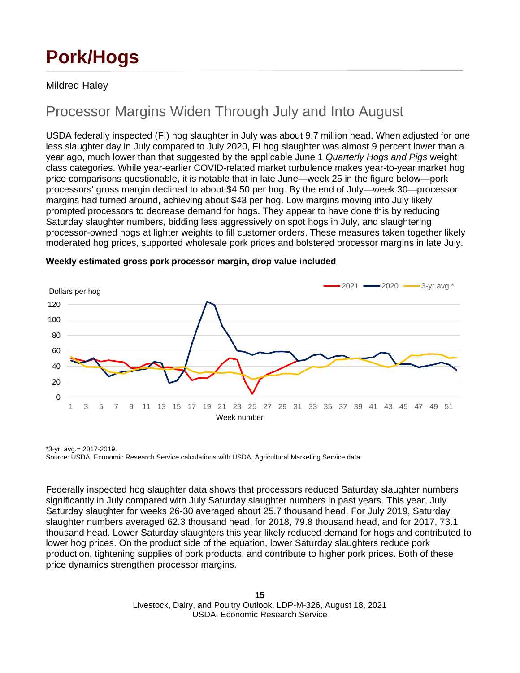# **Pork/Hogs**

### Mildred Haley

## Processor Margins Widen Through July and Into August

USDA federally inspected (FI) hog slaughter in July was about 9.7 million head. When adjusted for one less slaughter day in July compared to July 2020, FI hog slaughter was almost 9 percent lower than a year ago, much lower than that suggested by the applicable June 1 *Quarterly Hogs and Pigs* weight class categories. While year-earlier COVID-related market turbulence makes year-to-year market hog price comparisons questionable, it is notable that in late June—week 25 in the figure below—pork processors' gross margin declined to about \$4.50 per hog. By the end of July—week 30—processor margins had turned around, achieving about \$43 per hog. Low margins moving into July likely prompted processors to decrease demand for hogs. They appear to have done this by reducing Saturday slaughter numbers, bidding less aggressively on spot hogs in July, and slaughtering processor-owned hogs at lighter weights to fill customer orders. These measures taken together likely moderated hog prices, supported wholesale pork prices and bolstered processor margins in late July.



#### **Weekly estimated gross pork processor margin, drop value included**

\*3-yr. avg.= 2017-2019. Source: USDA, Economic Research Service calculations with USDA, Agricultural Marketing Service data.

Federally inspected hog slaughter data shows that processors reduced Saturday slaughter numbers significantly in July compared with July Saturday slaughter numbers in past years. This year, July Saturday slaughter for weeks 26-30 averaged about 25.7 thousand head. For July 2019, Saturday slaughter numbers averaged 62.3 thousand head, for 2018, 79.8 thousand head, and for 2017, 73.1 thousand head. Lower Saturday slaughters this year likely reduced demand for hogs and contributed to lower hog prices. On the product side of the equation, lower Saturday slaughters reduce pork production, tightening supplies of pork products, and contribute to higher pork prices. Both of these price dynamics strengthen processor margins.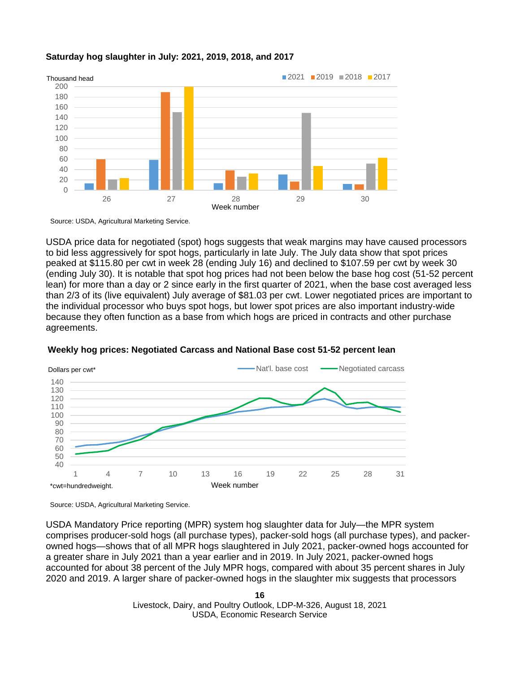#### **Saturday hog slaughter in July: 2021, 2019, 2018, and 2017**



Source: USDA, Agricultural Marketing Service.

USDA price data for negotiated (spot) hogs suggests that weak margins may have caused processors to bid less aggressively for spot hogs, particularly in late July. The July data show that spot prices peaked at \$115.80 per cwt in week 28 (ending July 16) and declined to \$107.59 per cwt by week 30 (ending July 30). It is notable that spot hog prices had not been below the base hog cost (51-52 percent lean) for more than a day or 2 since early in the first quarter of 2021, when the base cost averaged less than 2/3 of its (live equivalent) July average of \$81.03 per cwt. Lower negotiated prices are important to the individual processor who buys spot hogs, but lower spot prices are also important industry-wide because they often function as a base from which hogs are priced in contracts and other purchase agreements.



#### **Weekly hog prices: Negotiated Carcass and National Base cost 51-52 percent lean**

Source: USDA, Agricultural Marketing Service.

USDA Mandatory Price reporting (MPR) system hog slaughter data for July—the MPR system comprises producer-sold hogs (all purchase types), packer-sold hogs (all purchase types), and packerowned hogs—shows that of all MPR hogs slaughtered in July 2021, packer-owned hogs accounted for a greater share in July 2021 than a year earlier and in 2019. In July 2021, packer-owned hogs accounted for about 38 percent of the July MPR hogs, compared with about 35 percent shares in July 2020 and 2019. A larger share of packer-owned hogs in the slaughter mix suggests that processors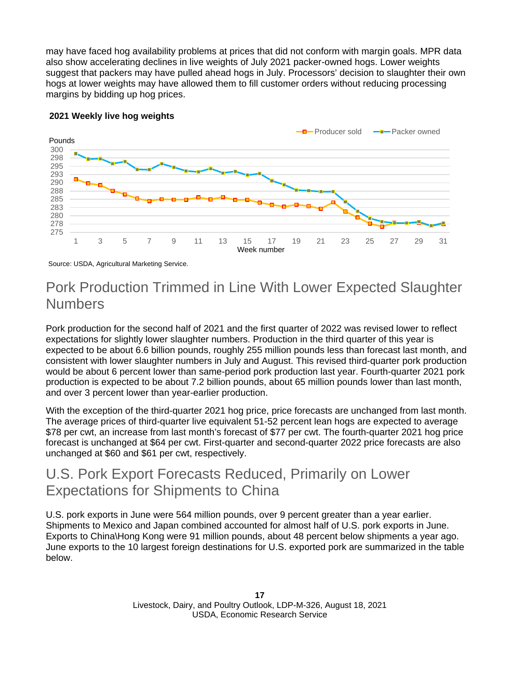may have faced hog availability problems at prices that did not conform with margin goals. MPR data also show accelerating declines in live weights of July 2021 packer-owned hogs. Lower weights suggest that packers may have pulled ahead hogs in July. Processors' decision to slaughter their own hogs at lower weights may have allowed them to fill customer orders without reducing processing margins by bidding up hog prices.



### **2021 Weekly live hog weights**

Source: USDA, Agricultural Marketing Service.

# Pork Production Trimmed in Line With Lower Expected Slaughter Numbers

Pork production for the second half of 2021 and the first quarter of 2022 was revised lower to reflect expectations for slightly lower slaughter numbers. Production in the third quarter of this year is expected to be about 6.6 billion pounds, roughly 255 million pounds less than forecast last month, and consistent with lower slaughter numbers in July and August. This revised third-quarter pork production would be about 6 percent lower than same-period pork production last year. Fourth-quarter 2021 pork production is expected to be about 7.2 billion pounds, about 65 million pounds lower than last month, and over 3 percent lower than year-earlier production.

With the exception of the third-quarter 2021 hog price, price forecasts are unchanged from last month. The average prices of third-quarter live equivalent 51-52 percent lean hogs are expected to average \$78 per cwt, an increase from last month's forecast of \$77 per cwt. The fourth-quarter 2021 hog price forecast is unchanged at \$64 per cwt. First-quarter and second-quarter 2022 price forecasts are also unchanged at \$60 and \$61 per cwt, respectively.

### U.S. Pork Export Forecasts Reduced, Primarily on Lower Expectations for Shipments to China

U.S. pork exports in June were 564 million pounds, over 9 percent greater than a year earlier. Shipments to Mexico and Japan combined accounted for almost half of U.S. pork exports in June. Exports to China\Hong Kong were 91 million pounds, about 48 percent below shipments a year ago. June exports to the 10 largest foreign destinations for U.S. exported pork are summarized in the table below.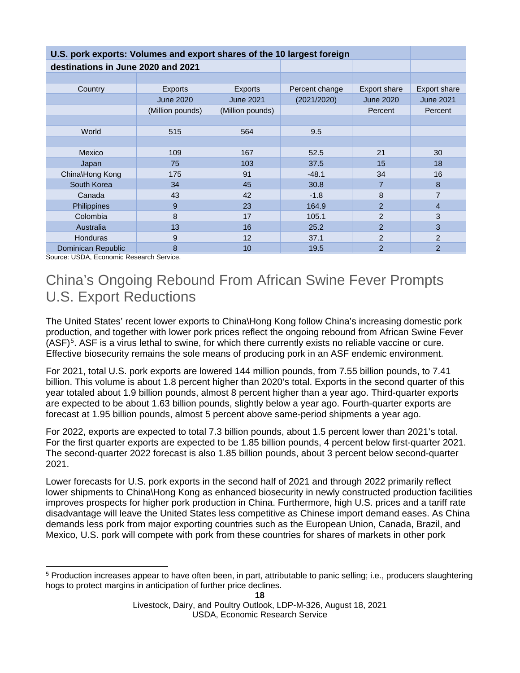| U.S. pork exports: Volumes and export shares of the 10 largest foreign |                  |                  |                |                  |                  |  |  |  |  |
|------------------------------------------------------------------------|------------------|------------------|----------------|------------------|------------------|--|--|--|--|
| destinations in June 2020 and 2021                                     |                  |                  |                |                  |                  |  |  |  |  |
|                                                                        |                  |                  |                |                  |                  |  |  |  |  |
| Country                                                                | <b>Exports</b>   |                  | Percent change | Export share     | Export share     |  |  |  |  |
|                                                                        | <b>June 2020</b> | <b>June 2021</b> | (2021/2020)    | <b>June 2020</b> | <b>June 2021</b> |  |  |  |  |
|                                                                        | (Million pounds) | (Million pounds) |                | Percent          | Percent          |  |  |  |  |
|                                                                        |                  |                  |                |                  |                  |  |  |  |  |
| World<br>515                                                           |                  | 564              | 9.5            |                  |                  |  |  |  |  |
|                                                                        |                  |                  |                |                  |                  |  |  |  |  |
| Mexico                                                                 | 109              | 167              | 52.5           | 21               | 30               |  |  |  |  |
| Japan                                                                  | 75               | 103              | 37.5           | 15               | 18               |  |  |  |  |
| China\Hong Kong                                                        | 175              | 91               | $-48.1$        | 34               | 16               |  |  |  |  |
| South Korea                                                            | 34               | 45               | 30.8           | $\overline{7}$   | 8                |  |  |  |  |
| Canada                                                                 | 43               | 42               | $-1.8$         | 8                | 7                |  |  |  |  |
| Philippines                                                            | 9                | 23               | 164.9          | $\overline{2}$   | $\overline{4}$   |  |  |  |  |
| Colombia                                                               | 8                | 17               | 105.1          | $\overline{2}$   | 3                |  |  |  |  |
| Australia                                                              | 13               | 16               | 25.2           | $\overline{2}$   | 3                |  |  |  |  |
| Honduras                                                               | 9                | 12               | 37.1           | $\overline{2}$   | $\overline{2}$   |  |  |  |  |
| Dominican Republic                                                     | 8                | 10               | 19.5           | $\overline{2}$   | $\overline{2}$   |  |  |  |  |

Source: USDA, Economic Research Service.

## China's Ongoing Rebound From African Swine Fever Prompts U.S. Export Reductions

The United States' recent lower exports to China\Hong Kong follow China's increasing domestic pork production, and together with lower pork prices reflect the ongoing rebound from African Swine Fever  $(ASF)^5$  $(ASF)^5$ . ASF is a virus lethal to swine, for which there currently exists no reliable vaccine or cure. Effective biosecurity remains the sole means of producing pork in an ASF endemic environment.

For 2021, total U.S. pork exports are lowered 144 million pounds, from 7.55 billion pounds, to 7.41 billion. This volume is about 1.8 percent higher than 2020's total. Exports in the second quarter of this year totaled about 1.9 billion pounds, almost 8 percent higher than a year ago. Third-quarter exports are expected to be about 1.63 billion pounds, slightly below a year ago. Fourth-quarter exports are forecast at 1.95 billion pounds, almost 5 percent above same-period shipments a year ago.

For 2022, exports are expected to total 7.3 billion pounds, about 1.5 percent lower than 2021's total. For the first quarter exports are expected to be 1.85 billion pounds, 4 percent below first-quarter 2021. The second-quarter 2022 forecast is also 1.85 billion pounds, about 3 percent below second-quarter 2021.

Lower forecasts for U.S. pork exports in the second half of 2021 and through 2022 primarily reflect lower shipments to China\Hong Kong as enhanced biosecurity in newly constructed production facilities improves prospects for higher pork production in China. Furthermore, high U.S. prices and a tariff rate disadvantage will leave the United States less competitive as Chinese import demand eases. As China demands less pork from major exporting countries such as the European Union, Canada, Brazil, and Mexico, U.S. pork will compete with pork from these countries for shares of markets in other pork

<span id="page-17-0"></span><sup>5</sup> Production increases appear to have often been, in part, attributable to panic selling; i.e., producers slaughtering hogs to protect margins in anticipation of further price declines.

Livestock, Dairy, and Poultry Outlook, LDP-M-326, August 18, 2021 USDA, Economic Research Service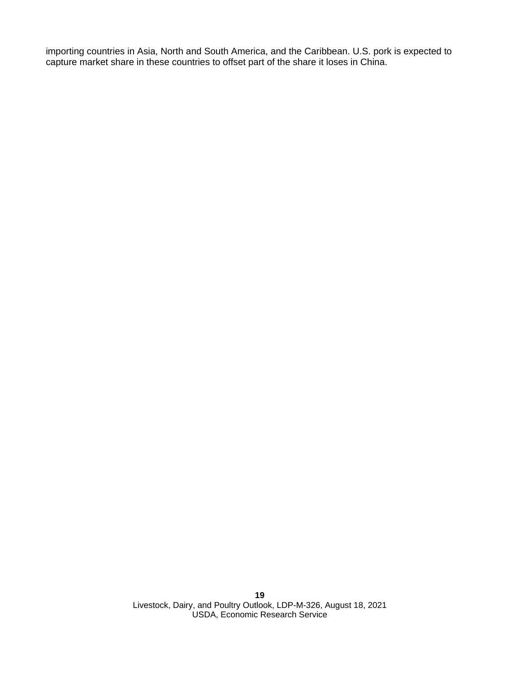importing countries in Asia, North and South America, and the Caribbean. U.S. pork is expected to capture market share in these countries to offset part of the share it loses in China.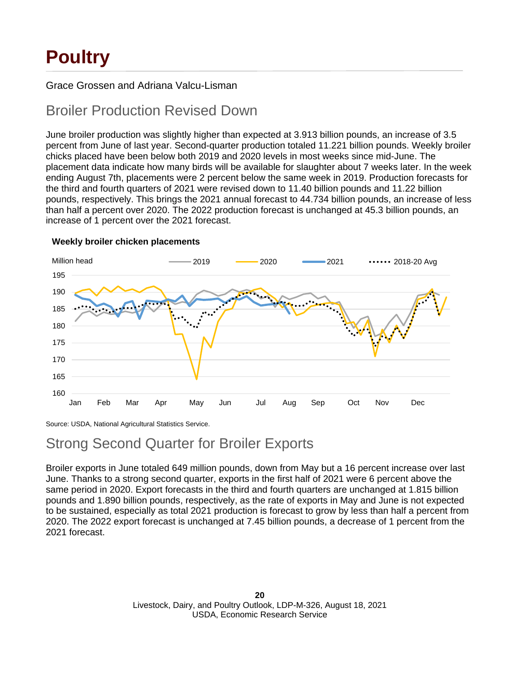# **Poultry**

### Grace Grossen and Adriana Valcu-Lisman

### Broiler Production Revised Down

June broiler production was slightly higher than expected at 3.913 billion pounds, an increase of 3.5 percent from June of last year. Second-quarter production totaled 11.221 billion pounds. Weekly broiler chicks placed have been below both 2019 and 2020 levels in most weeks since mid-June. The placement data indicate how many birds will be available for slaughter about 7 weeks later. In the week ending August 7th, placements were 2 percent below the same week in 2019. Production forecasts for the third and fourth quarters of 2021 were revised down to 11.40 billion pounds and 11.22 billion pounds, respectively. This brings the 2021 annual forecast to 44.734 billion pounds, an increase of less than half a percent over 2020. The 2022 production forecast is unchanged at 45.3 billion pounds, an increase of 1 percent over the 2021 forecast.



#### **Weekly broiler chicken placements**

Source: USDA, National Agricultural Statistics Service.

### Strong Second Quarter for Broiler Exports

Broiler exports in June totaled 649 million pounds, down from May but a 16 percent increase over last June. Thanks to a strong second quarter, exports in the first half of 2021 were 6 percent above the same period in 2020. Export forecasts in the third and fourth quarters are unchanged at 1.815 billion pounds and 1.890 billion pounds, respectively, as the rate of exports in May and June is not expected to be sustained, especially as total 2021 production is forecast to grow by less than half a percent from 2020. The 2022 export forecast is unchanged at 7.45 billion pounds, a decrease of 1 percent from the 2021 forecast.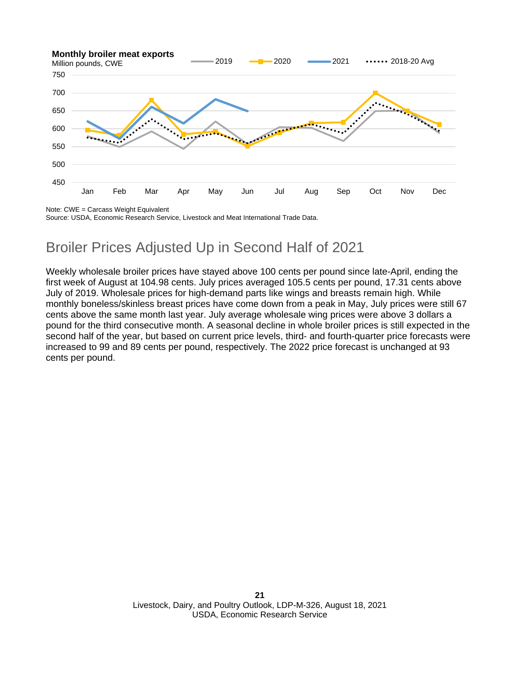

Note: CWE = Carcass Weight Equivalent

Source: USDA, Economic Research Service, Livestock and Meat International Trade Data.

# Broiler Prices Adjusted Up in Second Half of 2021

Weekly wholesale broiler prices have stayed above 100 cents per pound since late-April, ending the first week of August at 104.98 cents. July prices averaged 105.5 cents per pound, 17.31 cents above July of 2019. Wholesale prices for high-demand parts like wings and breasts remain high. While monthly boneless/skinless breast prices have come down from a peak in May, July prices were still 67 cents above the same month last year. July average wholesale wing prices were above 3 dollars a pound for the third consecutive month. A seasonal decline in whole broiler prices is still expected in the second half of the year, but based on current price levels, third- and fourth-quarter price forecasts were increased to 99 and 89 cents per pound, respectively. The 2022 price forecast is unchanged at 93 cents per pound.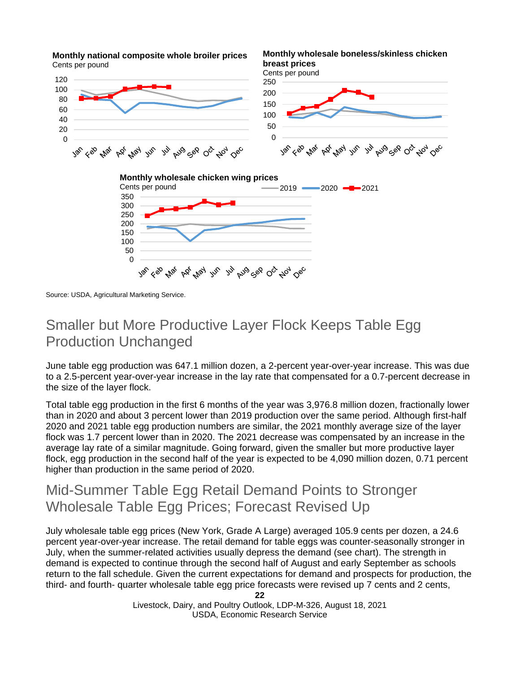

**Monthly national composite whole broiler prices**

Source: USDA, Agricultural Marketing Service.

### Smaller but More Productive Layer Flock Keeps Table Egg Production Unchanged

June table egg production was 647.1 million dozen, a 2-percent year-over-year increase. This was due to a 2.5-percent year-over-year increase in the lay rate that compensated for a 0.7-percent decrease in the size of the layer flock.

Total table egg production in the first 6 months of the year was 3,976.8 million dozen, fractionally lower than in 2020 and about 3 percent lower than 2019 production over the same period. Although first-half 2020 and 2021 table egg production numbers are similar, the 2021 monthly average size of the layer flock was 1.7 percent lower than in 2020. The 2021 decrease was compensated by an increase in the average lay rate of a similar magnitude. Going forward, given the smaller but more productive layer flock, egg production in the second half of the year is expected to be 4,090 million dozen, 0.71 percent higher than production in the same period of 2020.

### Mid-Summer Table Egg Retail Demand Points to Stronger Wholesale Table Egg Prices; Forecast Revised Up

July wholesale table egg prices (New York, Grade A Large) averaged 105.9 cents per dozen, a 24.6 percent year-over-year increase. The retail demand for table eggs was counter-seasonally stronger in July, when the summer-related activities usually depress the demand (see chart). The strength in demand is expected to continue through the second half of August and early September as schools return to the fall schedule. Given the current expectations for demand and prospects for production, the third- and fourth- quarter wholesale table egg price forecasts were revised up 7 cents and 2 cents,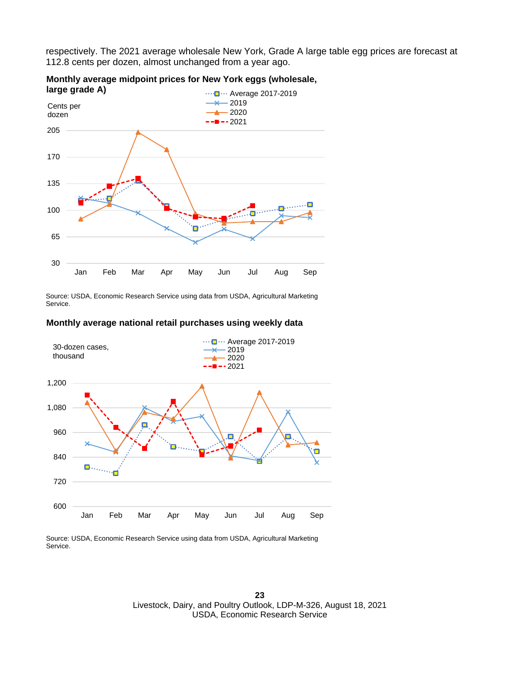respectively. The 2021 average wholesale New York, Grade A large table egg prices are forecast at 112.8 cents per dozen, almost unchanged from a year ago.



### **Monthly average midpoint prices for New York eggs (wholesale,**

Source: USDA, Economic Research Service using data from USDA, Agricultural Marketing Service.

#### **Monthly average national retail purchases using weekly data**



Source: USDA, Economic Research Service using data from USDA, Agricultural Marketing Service.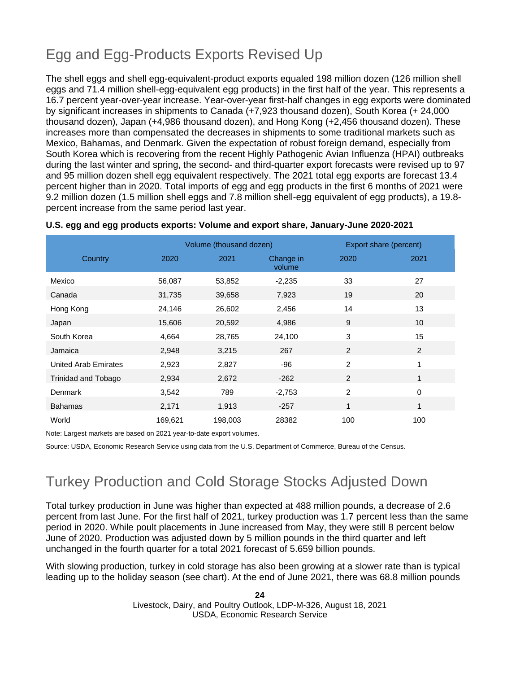# Egg and Egg-Products Exports Revised Up

The shell eggs and shell egg-equivalent-product exports equaled 198 million dozen (126 million shell eggs and 71.4 million shell-egg-equivalent egg products) in the first half of the year. This represents a 16.7 percent year-over-year increase. Year-over-year first-half changes in egg exports were dominated by significant increases in shipments to Canada (+7,923 thousand dozen), South Korea (+ 24,000 thousand dozen), Japan (+4,986 thousand dozen), and Hong Kong (+2,456 thousand dozen). These increases more than compensated the decreases in shipments to some traditional markets such as Mexico, Bahamas, and Denmark. Given the expectation of robust foreign demand, especially from South Korea which is recovering from the recent Highly Pathogenic Avian Influenza (HPAI) outbreaks during the last winter and spring, the second- and third-quarter export forecasts were revised up to 97 and 95 million dozen shell egg equivalent respectively. The 2021 total egg exports are forecast 13.4 percent higher than in 2020. Total imports of egg and egg products in the first 6 months of 2021 were 9.2 million dozen (1.5 million shell eggs and 7.8 million shell-egg equivalent of egg products), a 19.8 percent increase from the same period last year.

|                      |         | Volume (thousand dozen) |                     | Export share (percent) |      |
|----------------------|---------|-------------------------|---------------------|------------------------|------|
| Country              | 2020    | 2021                    | Change in<br>volume | 2020                   | 2021 |
| Mexico               | 56,087  | 53,852                  | $-2,235$            | 33                     | 27   |
| Canada               | 31,735  | 39,658                  | 7,923               | 19                     | 20   |
| Hong Kong            | 24,146  | 26,602                  | 2,456               | 14                     | 13   |
| Japan                | 15,606  | 20,592                  | 4,986               | 9                      | 10   |
| South Korea          | 4,664   | 28,765                  | 24,100              | 3                      | 15   |
| Jamaica              | 2,948   | 3,215                   | 267                 | 2                      | 2    |
| United Arab Emirates | 2,923   | 2,827                   | $-96$               | $\overline{2}$         | 1    |
| Trinidad and Tobago  | 2,934   | 2,672                   | $-262$              | 2                      | 1    |
| Denmark              | 3,542   | 789                     | $-2,753$            | $\overline{2}$         | 0    |
| <b>Bahamas</b>       | 2,171   | 1,913                   | $-257$              | 1                      | 1    |
| World                | 169,621 | 198,003                 | 28382               | 100                    | 100  |

#### **U.S. egg and egg products exports: Volume and export share, January-June 2020-2021**

Note: Largest markets are based on 2021 year-to-date export volumes.

Source: USDA, Economic Research Service using data from the U.S. Department of Commerce, Bureau of the Census.

## Turkey Production and Cold Storage Stocks Adjusted Down

Total turkey production in June was higher than expected at 488 million pounds, a decrease of 2.6 percent from last June. For the first half of 2021, turkey production was 1.7 percent less than the same period in 2020. While poult placements in June increased from May, they were still 8 percent below June of 2020. Production was adjusted down by 5 million pounds in the third quarter and left unchanged in the fourth quarter for a total 2021 forecast of 5.659 billion pounds.

With slowing production, turkey in cold storage has also been growing at a slower rate than is typical leading up to the holiday season (see chart). At the end of June 2021, there was 68.8 million pounds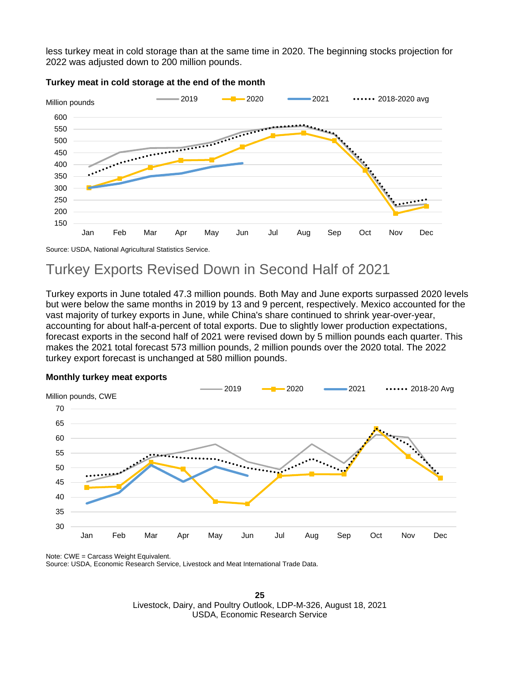less turkey meat in cold storage than at the same time in 2020. The beginning stocks projection for 2022 was adjusted down to 200 million pounds.



#### **Turkey meat in cold storage at the end of the month**

Source: USDA, National Agricultural Statistics Service.

### Turkey Exports Revised Down in Second Half of 2021

Turkey exports in June totaled 47.3 million pounds. Both May and June exports surpassed 2020 levels but were below the same months in 2019 by 13 and 9 percent, respectively. Mexico accounted for the vast majority of turkey exports in June, while China's share continued to shrink year-over-year, accounting for about half-a-percent of total exports. Due to slightly lower production expectations, forecast exports in the second half of 2021 were revised down by 5 million pounds each quarter. This makes the 2021 total forecast 573 million pounds, 2 million pounds over the 2020 total. The 2022 turkey export forecast is unchanged at 580 million pounds.



#### **Monthly turkey meat exports**

Note: CWE = Carcass Weight Equivalent. Source: USDA, Economic Research Service, Livestock and Meat International Trade Data.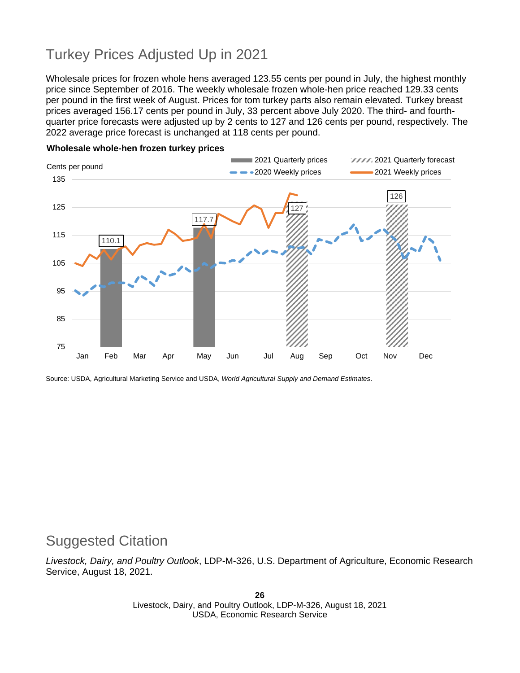# Turkey Prices Adjusted Up in 2021

Wholesale prices for frozen whole hens averaged 123.55 cents per pound in July, the highest monthly price since September of 2016. The weekly wholesale frozen whole-hen price reached 129.33 cents per pound in the first week of August. Prices for tom turkey parts also remain elevated. Turkey breast prices averaged 156.17 cents per pound in July, 33 percent above July 2020. The third- and fourthquarter price forecasts were adjusted up by 2 cents to 127 and 126 cents per pound, respectively. The 2022 average price forecast is unchanged at 118 cents per pound.



#### **Wholesale whole-hen frozen turkey prices**

Source: USDA, Agricultural Marketing Service and USDA, *World Agricultural Supply and Demand Estimates*.

### Suggested Citation

*Livestock, Dairy, and Poultry Outlook*, LDP-M-326, U.S. Department of Agriculture, Economic Research Service, August 18, 2021.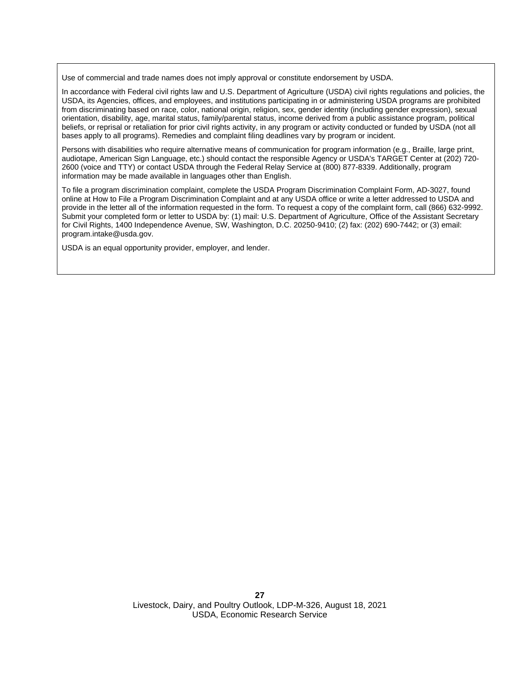Use of commercial and trade names does not imply approval or constitute endorsement by USDA.

In accordance with Federal civil rights law and U.S. Department of Agriculture (USDA) civil rights regulations and policies, the USDA, its Agencies, offices, and employees, and institutions participating in or administering USDA programs are prohibited from discriminating based on race, color, national origin, religion, sex, gender identity (including gender expression), sexual orientation, disability, age, marital status, family/parental status, income derived from a public assistance program, political beliefs, or reprisal or retaliation for prior civil rights activity, in any program or activity conducted or funded by USDA (not all bases apply to all programs). Remedies and complaint filing deadlines vary by program or incident.

Persons with disabilities who require alternative means of communication for program information (e.g., Braille, large print, audiotape, American Sign Language, etc.) should contact the responsible Agency or USDA's TARGET Center at (202) 720- 2600 (voice and TTY) or contact USDA through the Federal Relay Service at (800) 877-8339. Additionally, program information may be made available in languages other than English.

To file a program discrimination complaint, complete the USDA Program Discrimination Complaint Form, AD-3027, found online at How to File a Program Discrimination Complaint and at any USDA office or write a letter addressed to USDA and provide in the letter all of the information requested in the form. To request a copy of the complaint form, call (866) 632-9992. Submit your completed form or letter to USDA by: (1) mail: U.S. Department of Agriculture, Office of the Assistant Secretary for Civil Rights, 1400 Independence Avenue, SW, Washington, D.C. 20250-9410; (2) fax: (202) 690-7442; or (3) email: program.intake@usda.gov.

USDA is an equal opportunity provider, employer, and lender.